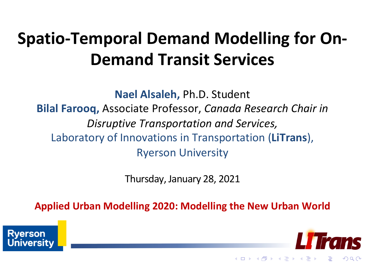#### **Spatio-Temporal Demand Modelling for On-Demand Transit Services**

**Nael Alsaleh,** Ph.D. Student **Bilal Farooq,** Associate Professor, *Canada Research Chair in Disruptive Transportation and Services,*  Laboratory of Innovations in Transportation (**LiTrans**), Ryerson University

Thursday, January 28, 2021

**Applied Urban Modelling 2020: Modelling the New Urban World** 



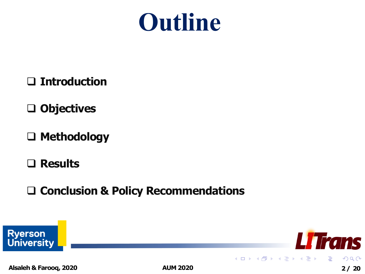

- q **Introduction**
- q **Objectives**
- q **Methodology**
- q **Results**
- q **Conclusion & Policy Recommendations**

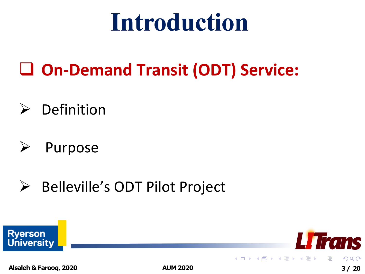#### **Introduction**

- q **On-Demand Transit (ODT) Service:**
- $\triangleright$  Definition
- Ø Purpose
- Ø Belleville's ODT Pilot Project

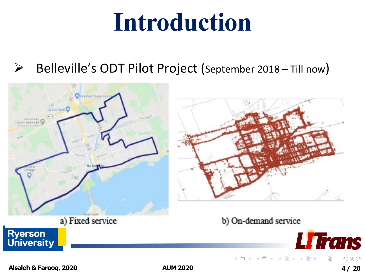#### **Introduction**

 $\triangleright$  Belleville's ODT Pilot Project (September 2018 – Till now)

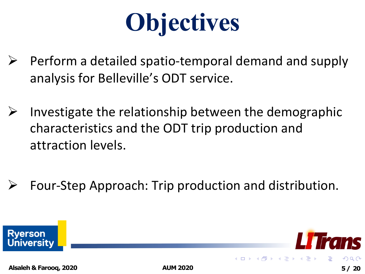## **Objectives**

- Perform a detailed spatio-temporal demand and supply analysis for Belleville's ODT service.
- $\triangleright$  Investigate the relationship between the demographic characteristics and the ODT trip production and attraction levels.
- Four-Step Approach: Trip production and distribution.

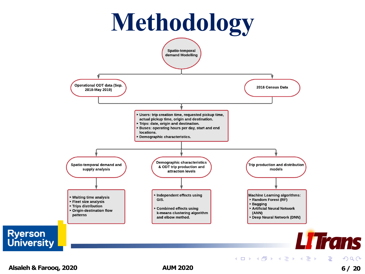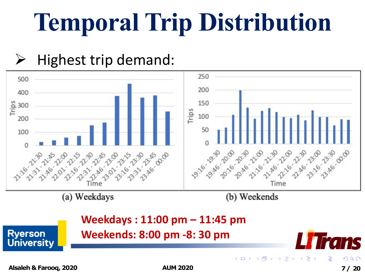## **Temporal Trip Distribution**

#### Highest trip demand:

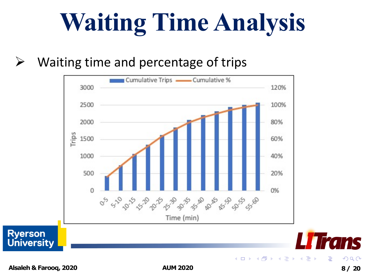## **Waiting Time Analysis**

#### $\triangleright$  Waiting time and percentage of trips



**Alsaleh & Farooq, 2020 AUM 2020 8/ 20**

つへへ

mc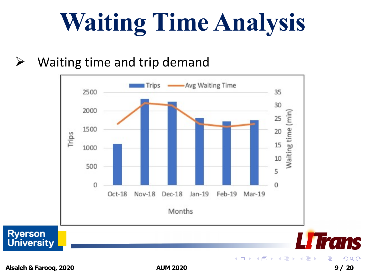## **Waiting Time Analysis**

#### $\triangleright$  Waiting time and trip demand



**Alsaleh & Farooq, 2020 AUM 2020 9/ 20**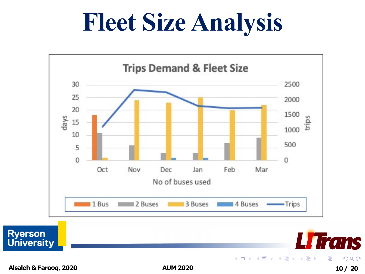#### **Fleet Size Analysis**



**Alsaleh & Farooq, 2020 AUM 2020 10/ 20**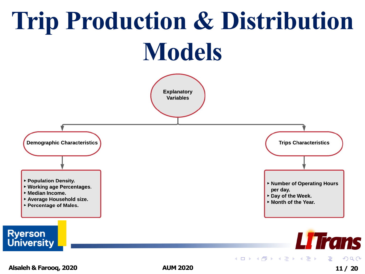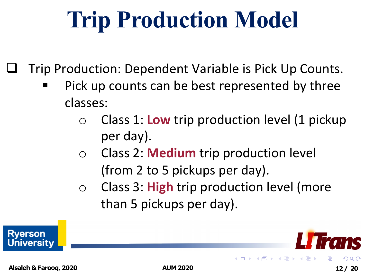#### **Trip Production Model**

Trip Production: Dependent Variable is Pick Up Counts.

- Pick up counts can be best represented by three classes:
	- o Class 1: **Low** trip production level (1 pickup per day).
	- o Class 2: **Medium** trip production level (from 2 to 5 pickups per day).
	- o Class 3: **High** trip production level (more than 5 pickups per day).

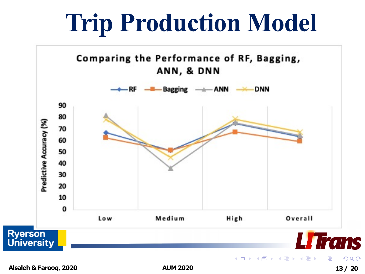#### **Trip Production Model**

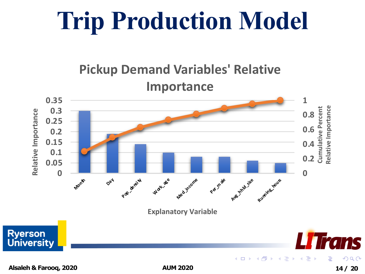### **Trip Production Model**

#### **Pickup Demand Variables' Relative Importance 0.35 1 Cumulative Percent Relative Importance 0.3** Relative Importance **Relative Importance 0.8 0.25 0.6 0.2 0.15 0.4 0.1 0.2 0.05 0 0 Pop\_densi ty Month Media**e **02**<sup>4</sup> **Work\_ag**e **Per**  $\hat{\pi}$ Aw this size auming to be **Explanatory Variable Ryerson Trans University** ∢●  $\sim$ э

**Alsaleh & Farooq, 2020 AUM 2020 14/ 20**

 $Q \cap C$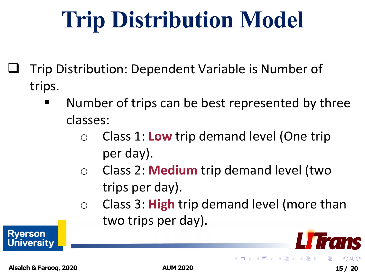#### **Trip Distribution Model**

- q Trip Distribution: Dependent Variable is Number of trips.
	- Number of trips can be best represented by three classes:
		- o Class 1: **Low** trip demand level (One trip per day).
		- o Class 2: **Medium** trip demand level (two trips per day).
		- o Class 3: **High** trip demand level (more than two trips per day).

( ロ ) ( 何 ) ( ヨ ) ( ヨ

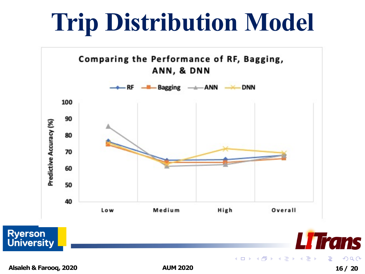#### **Trip Distribution Model**

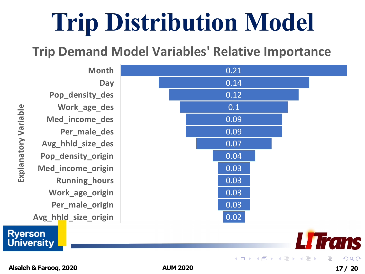### **Trip Distribution Model**

#### **Trip Demand Model Variables' Relative Importance**

**Month Day Pop\_density\_des Work\_age\_des Med\_income\_des Per\_male\_des Avg\_hhld\_size\_des Pop\_density\_origin Med\_income\_origin Running\_hours Work\_age\_origin Per\_male\_origin Avg\_hhld\_size\_origin**

**Explanatory Variable**  Explanatory Variable



0.21

**Ryerson** 

**University**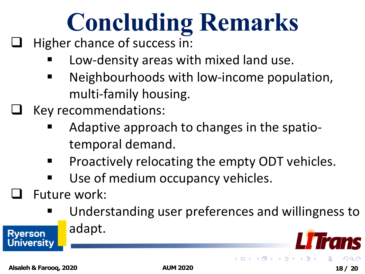# **Concluding Remarks**

- Higher chance of success in:
	- Low-density areas with mixed land use.
	- Neighbourhoods with low-income population, multi-family housing.
	- Key recommendations:
		- Adaptive approach to changes in the spatiotemporal demand.
		- Proactively relocating the empty ODT vehicles.
		- Use of medium occupancy vehicles.
- Future work:
	- Understanding user preferences and willingness to adapt.

 $4$  O  $\rightarrow$   $4$   $\overline{m}$   $\rightarrow$   $4$   $\equiv$   $\rightarrow$ 

Alsaleh & Farooq, 2020 **Alsaleh & Farooq, 2020 AUM 2020 18/ 20**

**Rverson** niversity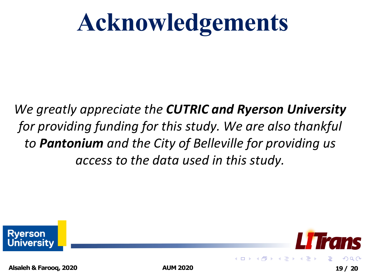### **Acknowledgements**

*We greatly appreciate the CUTRIC and Ryerson University for providing funding for this study. We are also thankful to Pantonium and the City of Belleville for providing us access to the data used in this study.*